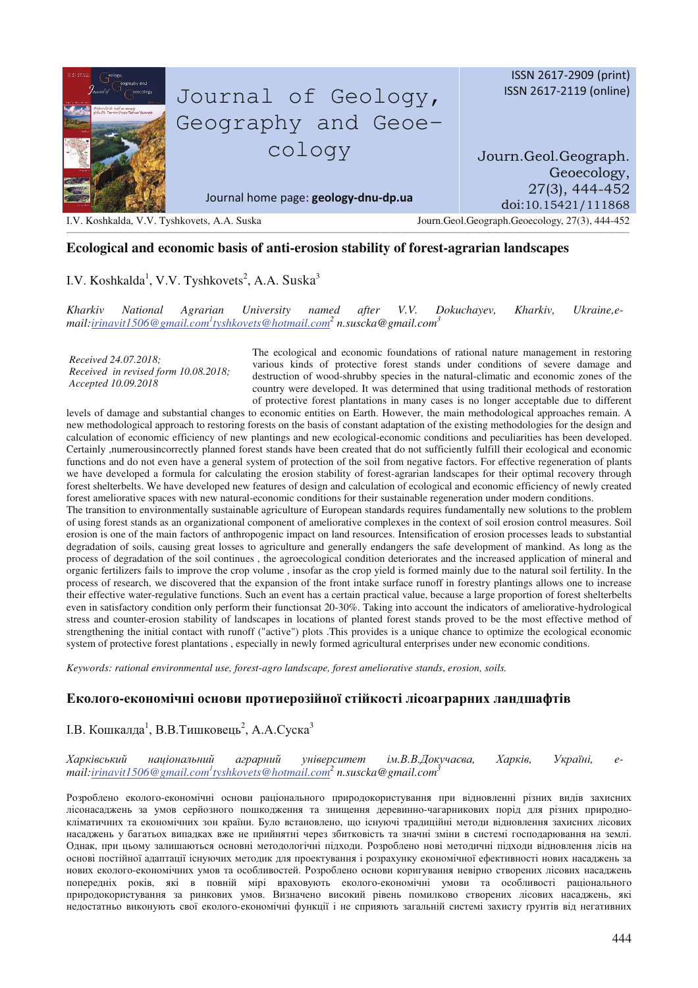

### **Ecological and economic basis of anti-erosion stability of forest-agrarian landscapes**

# I.V. Koshkalda<sup>1</sup>, V.V. Tyshkovets<sup>2</sup>, A.A. Suska<sup>3</sup>

*Kharkiv National Agrarian University named after V.V. Dokuchayev, Kharkiv, Ukraine,email:irinavit1506@gmail.com<sup>1</sup> tyshkovets@hotmail.com<sup>2</sup> n.suscka@gmail.com<sup>3</sup>*

*Received 24.07.2018; Received in revised form 10.08.2018; Accepted 10.09.2018* 

The ecological and economic foundations of rational nature management in restoring various kinds of protective forest stands under conditions of severe damage and destruction of wood-shrubby species in the natural-climatic and economic zones of the country were developed. It was determined that using traditional methods of restoration of protective forest plantations in many cases is no longer acceptable due to different

levels of damage and substantial changes to economic entities on Earth. However, the main methodological approaches remain. A new methodological approach to restoring forests on the basis of constant adaptation of the existing methodologies for the design and calculation of economic efficiency of new plantings and new ecological-economic conditions and peculiarities has been developed. Certainly ,numerousincorrectly planned forest stands have been created that do not sufficiently fulfill their ecological and economic functions and do not even have a general system of protection of the soil from negative factors. For effective regeneration of plants we have developed a formula for calculating the erosion stability of forest-agrarian landscapes for their optimal recovery through forest shelterbelts. We have developed new features of design and calculation of ecological and economic efficiency of newly created forest ameliorative spaces with new natural-economic conditions for their sustainable regeneration under modern conditions.

The transition to environmentally sustainable agriculture of European standards requires fundamentally new solutions to the problem of using forest stands as an organizational component of ameliorative complexes in the context of soil erosion control measures. Soil erosion is one of the main factors of anthropogenic impact on land resources. Intensification of erosion processes leads to substantial degradation of soils, causing great losses to agriculture and generally endangers the safe development of mankind. As long as the process of degradation of the soil continues , the agroecological condition deteriorates and the increased application of mineral and organic fertilizers fails to improve the crop volume , insofar as the crop yield is formed mainly due to the natural soil fertility. In the process of research, we discovered that the expansion of the front intake surface runoff in forestry plantings allows one to increase their effective water-regulative functions. Such an event has a certain practical value, because a large proportion of forest shelterbelts even in satisfactory condition only perform their functionsat 20-30%. Taking into account the indicators of ameliorative-hydrological stress and counter-erosion stability of landscapes in locations of planted forest stands proved to be the most effective method of strengthening the initial contact with runoff ("active") plots .This provides is a unique chance to optimize the ecological economic system of protective forest plantations , especially in newly formed agricultural enterprises under new economic conditions.

*Keywords: rational environmental use, forest-agro landscape, forest ameliorative stands*, *erosion, soils.* 

## $\bf{E}$ колого-економічні основи протиерозійної стійкості лісоаграрних ландшафтів

## I.В. Кошкалда<sup>1</sup>, В.В.Тишковець<sup>2</sup>, А.А.Суска<sup>3</sup>

 $X$ арківський аціональн ий аграрний ун університет ім.В.В.Докучаєва, Харків, Україні, *, email:irinavit1506@gmail.com<sup>1</sup> tyshkovets@hotmail.com<sup>2</sup> n.suscka@gmail.com<sup>3</sup>*

Розроблено еколого-економічні основи раціонального природокористування при відновленні різних видів захисних лісонасаджень за умов серйозного пошкодження та знищення деревинно-чагарникових порід для різних природнокліматичних та економічних зон країни. Було встановлено, що існуючі традиційні методи відновлення захисних лісових насаджень у багатьох випадках вже не прийнятні через збитковість та значні зміни в системі господарювання на землі. Однак, при цьому залишаються основні методологічні підходи. Розроблено нові методичні підходи відновлення лісів на основі постійної адаптації існуючих методик для проектування і розрахунку економічної ефективності нових насаджень за нових еколого-економічних умов та особливостей. Розроблено основи коригування невірно створених лісових насаджень попередніх років, які в повній мірі враховують еколого-економічні умови та особливості раціонального природокористування за ринкових умов. Визначено високий рівень помилково створених лісових насаджень, які недостатньо виконують свої еколого-економічні функції і не сприяють загальній системі захисту грунтів від негативних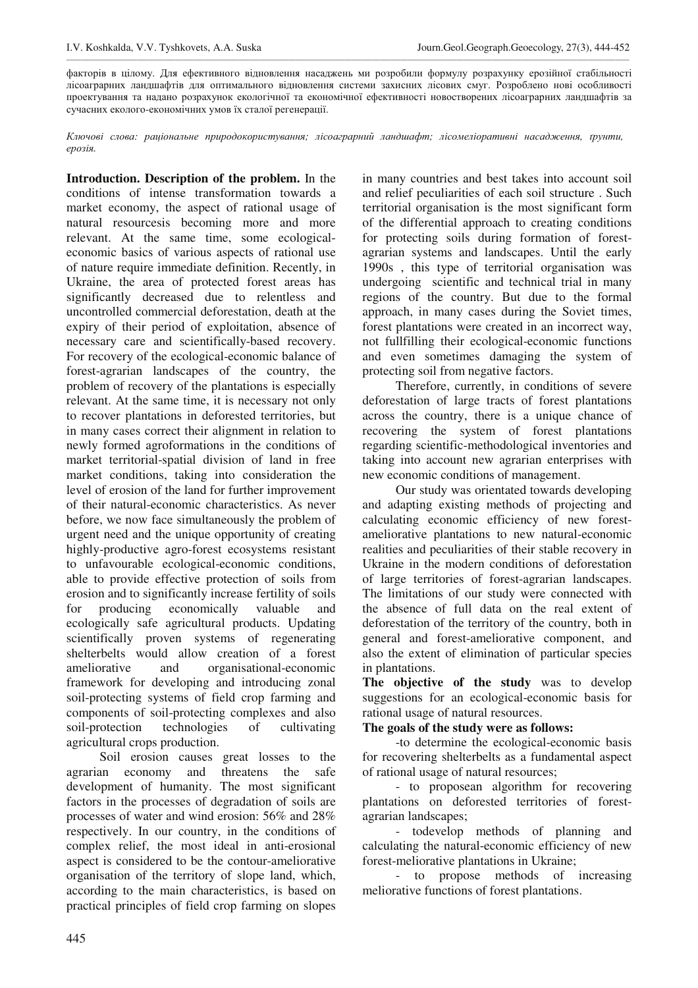факторів в цілому. Для ефективного відновлення насаджень ми розробили формулу розрахунку ерозійної стабільності лісоаграрних ландшафтів для оптимального відновлення системи захисних лісових смуг. Розроблено нові особливості проектування та надано розрахунок екологічної та економічної ефективності новостворених лісоаграрних ландшафтів за сучасних еколого-економічних умов їх сталої регенерації.

\_\_\_\_\_\_\_\_\_\_\_\_\_\_\_\_\_\_\_\_\_\_\_\_\_\_\_\_\_\_\_\_\_\_\_\_\_\_\_\_\_\_\_\_\_\_\_\_\_\_\_\_\_\_\_\_\_\_\_\_\_\_\_\_\_\_\_\_\_\_\_\_\_\_\_\_\_\_\_\_\_\_\_\_\_\_\_\_\_\_\_\_\_\_\_\_\_\_\_\_\_\_\_\_\_\_\_\_\_\_\_\_\_\_\_\_\_\_\_\_\_\_\_\_\_\_\_\_\_\_\_\_\_\_\_\_\_\_\_\_\_\_\_\_\_\_\_\_\_\_\_\_\_\_\_\_\_\_\_\_

 $K$ лючові слова: раціональне природокористування; лісоаграрний ландшафт; лісомеліоративні насадження, ґрунти,  $eposi$ я.

**Introduction. Description of the problem.** In the conditions of intense transformation towards a market economy, the aspect of rational usage of natural resourcesis becoming more and more relevant. At the same time, some ecologicaleconomic basics of various aspects of rational use of nature require immediate definition. Recently, in Ukraine, the area of protected forest areas has significantly decreased due to relentless and uncontrolled commercial deforestation, death at the expiry of their period of exploitation, absence of necessary care and scientifically-based recovery. For recovery of the ecological-economic balance of forest-agrarian landscapes of the country, the problem of recovery of the plantations is especially relevant. At the same time, it is necessary not only to recover plantations in deforested territories, but in many cases correct their alignment in relation to newly formed agroformations in the conditions of market territorial-spatial division of land in free market conditions, taking into consideration the level of erosion of the land for further improvement of their natural-economic characteristics. As never before, we now face simultaneously the problem of urgent need and the unique opportunity of creating highly-productive agro-forest ecosystems resistant to unfavourable ecological-economic conditions, able to provide effective protection of soils from erosion and to significantly increase fertility of soils for producing economically valuable and ecologically safe agricultural products. Updating scientifically proven systems of regenerating shelterbelts would allow creation of a forest ameliorative and organisational-economic framework for developing and introducing zonal soil-protecting systems of field crop farming and components of soil-protecting complexes and also soil-protection technologies of cultivating agricultural crops production.

Soil erosion causes great losses to the agrarian economy and threatens the safe development of humanity. The most significant factors in the processes of degradation of soils are processes of water and wind erosion: 56% and 28% respectively. In our country, in the conditions of complex relief, the most ideal in anti-erosional aspect is considered to be the contour-ameliorative organisation of the territory of slope land, which, according to the main characteristics, is based on practical principles of field crop farming on slopes

in many countries and best takes into account soil and relief peculiarities of each soil structure . Such territorial organisation is the most significant form of the differential approach to creating conditions for protecting soils during formation of forestagrarian systems and landscapes. Until the early 1990s , this type of territorial organisation was undergoing scientific and technical trial in many regions of the country. But due to the formal approach, in many cases during the Soviet times, forest plantations were created in an incorrect way, not fullfilling their ecological-economic functions and even sometimes damaging the system of protecting soil from negative factors.

Therefore, currently, in conditions of severe deforestation of large tracts of forest plantations across the country, there is a unique chance of recovering the system of forest plantations regarding scientific-methodological inventories and taking into account new agrarian enterprises with new economic conditions of management.

Our study was orientated towards developing and adapting existing methods of projecting and calculating economic efficiency of new forestameliorative plantations to new natural-economic realities and peculiarities of their stable recovery in Ukraine in the modern conditions of deforestation of large territories of forest-agrarian landscapes. The limitations of our study were connected with the absence of full data on the real extent of deforestation of the territory of the country, both in general and forest-ameliorative component, and also the extent of elimination of particular species in plantations.

**The objective of the study** was to develop suggestions for an ecological-economic basis for rational usage of natural resources.

### **The goals of the study were as follows:**

-to determine the ecological-economic basis for recovering shelterbelts as a fundamental aspect of rational usage of natural resources;

- to proposean algorithm for recovering plantations on deforested territories of forestagrarian landscapes;

- todevelop methods of planning and calculating the natural-economic efficiency of new forest-meliorative plantations in Ukraine;

- to propose methods of increasing meliorative functions of forest plantations.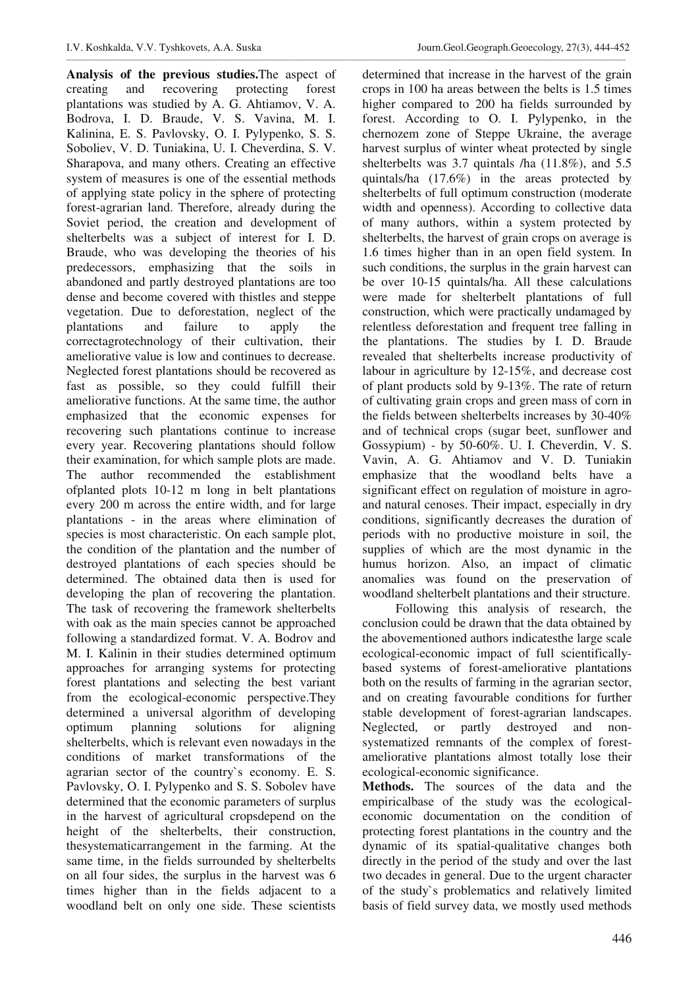**Analysis of the previous studies.**The aspect of creating and recovering protecting forest plantations was studied by A. G. Ahtiamov, V. A. Bodrova, I. D. Braude, V. S. Vavina, M. I. Kalinina, E. S. Pavlovsky, O. I. Pylypenko, S. S. Soboliev, V. D. Tuniakina, U. I. Cheverdina, S. V. Sharapova, and many others. Creating an effective system of measures is one of the essential methods of applying state policy in the sphere of protecting forest-agrarian land. Therefore, already during the Soviet period, the creation and development of shelterbelts was a subject of interest for I. D. Braude, who was developing the theories of his predecessors, emphasizing that the soils in abandoned and partly destroyed plantations are too dense and become covered with thistles and steppe vegetation. Due to deforestation, neglect of the plantations and failure to apply the correctagrotechnology of their cultivation, their ameliorative value is low and continues to decrease. Neglected forest plantations should be recovered as fast as possible, so they could fulfill their ameliorative functions. At the same time, the author emphasized that the economic expenses for recovering such plantations continue to increase every year. Recovering plantations should follow their examination, for which sample plots are made. The author recommended the establishment ofplanted plots 10-12 m long in belt plantations every 200 m across the entire width, and for large plantations - in the areas where elimination of species is most characteristic. On each sample plot, the condition of the plantation and the number of destroyed plantations of each species should be determined. The obtained data then is used for developing the plan of recovering the plantation. The task of recovering the framework shelterbelts with oak as the main species cannot be approached following a standardized format. V. A. Bodrov and M. I. Kalinin in their studies determined optimum approaches for arranging systems for protecting forest plantations and selecting the best variant from the ecological-economic perspective.They determined a universal algorithm of developing optimum planning solutions for aligning shelterbelts, which is relevant even nowadays in the conditions of market transformations of the agrarian sector of the country`s economy. E. S. Pavlovsky, O. I. Pylypenko and S. S. Sobolev have determined that the economic parameters of surplus in the harvest of agricultural cropsdepend on the height of the shelterbelts, their construction, thesystematicarrangement in the farming. At the same time, in the fields surrounded by shelterbelts on all four sides, the surplus in the harvest was 6 times higher than in the fields adjacent to a woodland belt on only one side. These scientists

\_\_\_\_\_\_\_\_\_\_\_\_\_\_\_\_\_\_\_\_\_\_\_\_\_\_\_\_\_\_\_\_\_\_\_\_\_\_\_\_\_\_\_\_\_\_\_\_\_\_\_\_\_\_\_\_\_\_\_\_\_\_\_\_\_\_\_\_\_\_\_\_\_\_\_\_\_\_\_\_\_\_\_\_\_\_\_\_\_\_\_\_\_\_\_\_\_\_\_\_\_\_\_\_\_\_\_\_\_\_\_\_\_\_\_\_\_\_\_\_\_\_\_\_\_\_\_\_\_\_\_\_\_\_\_\_\_\_\_\_\_\_\_\_\_\_\_\_\_\_\_\_\_\_\_\_\_\_\_

determined that increase in the harvest of the grain crops in 100 ha areas between the belts is 1.5 times higher compared to 200 ha fields surrounded by forest. According to O. I. Pylypenko, in the chernozem zone of Steppe Ukraine, the average harvest surplus of winter wheat protected by single shelterbelts was 3.7 quintals /ha (11.8%), and 5.5 quintals/ha (17.6%) in the areas protected by shelterbelts of full optimum construction (moderate width and openness). According to collective data of many authors, within a system protected by shelterbelts, the harvest of grain crops on average is 1.6 times higher than in an open field system. In such conditions, the surplus in the grain harvest can be over 10-15 quintals/ha. All these calculations were made for shelterbelt plantations of full construction, which were practically undamaged by relentless deforestation and frequent tree falling in the plantations. The studies by I. D. Braude revealed that shelterbelts increase productivity of labour in agriculture by 12-15%, and decrease cost of plant products sold by 9-13%. The rate of return of cultivating grain crops and green mass of corn in the fields between shelterbelts increases by 30-40% and of technical crops (sugar beet, sunflower and Gossypium) - by 50-60%. U. I. Cheverdin, V. S. Vavin, A. G. Ahtiamov and V. D. Tuniakin emphasize that the woodland belts have a significant effect on regulation of moisture in agroand natural cenoses. Their impact, especially in dry conditions, significantly decreases the duration of periods with no productive moisture in soil, the supplies of which are the most dynamic in the humus horizon. Also, an impact of climatic anomalies was found on the preservation of woodland shelterbelt plantations and their structure.

Following this analysis of research, the conclusion could be drawn that the data obtained by the abovementioned authors indicatesthe large scale ecological-economic impact of full scientificallybased systems of forest-ameliorative plantations both on the results of farming in the agrarian sector, and on creating favourable conditions for further stable development of forest-agrarian landscapes. Neglected, or partly destroyed and nonsystematized remnants of the complex of forestameliorative plantations almost totally lose their ecological-economic significance.

**Methods.** The sources of the data and the empiricalbase of the study was the ecologicaleconomic documentation on the condition of protecting forest plantations in the country and the dynamic of its spatial-qualitative changes both directly in the period of the study and over the last two decades in general. Due to the urgent character of the study`s problematics and relatively limited basis of field survey data, we mostly used methods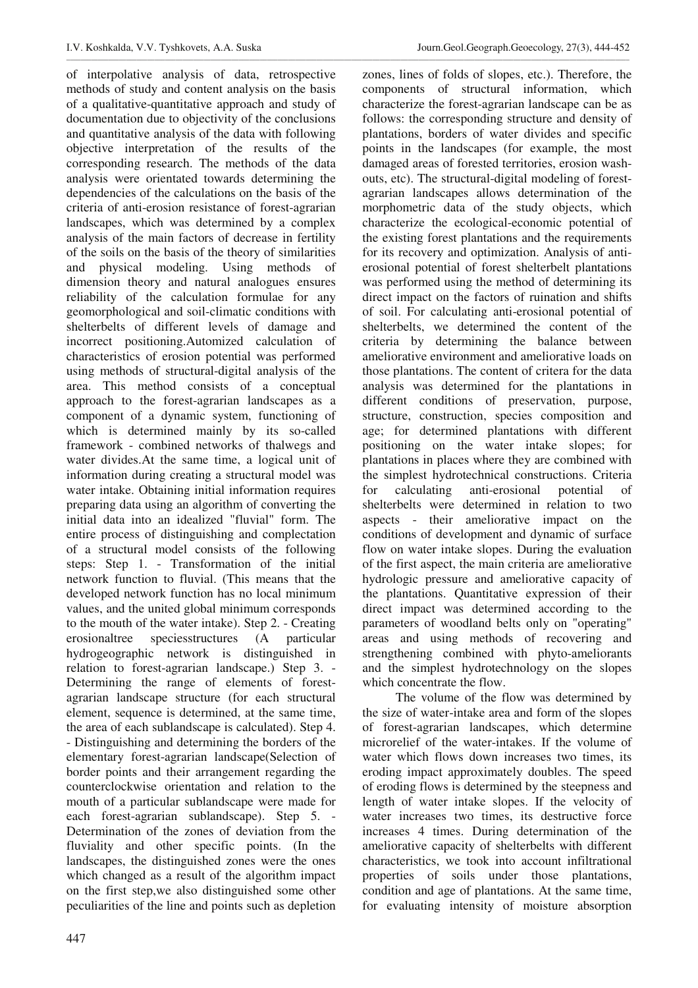of interpolative analysis of data, retrospective methods of study and content analysis on the basis of a qualitative-quantitative approach and study of documentation due to objectivity of the conclusions and quantitative analysis of the data with following objective interpretation of the results of the corresponding research. The methods of the data analysis were orientated towards determining the dependencies of the calculations on the basis of the criteria of anti-erosion resistance of forest-agrarian landscapes, which was determined by a complex analysis of the main factors of decrease in fertility of the soils on the basis of the theory of similarities and physical modeling. Using methods of dimension theory and natural analogues ensures reliability of the calculation formulae for any geomorphological and soil-climatic conditions with shelterbelts of different levels of damage and incorrect positioning.Automized calculation of characteristics of erosion potential was performed using methods of structural-digital analysis of the area. This method consists of a conceptual approach to the forest-agrarian landscapes as a component of a dynamic system, functioning of which is determined mainly by its so-called framework - combined networks of thalwegs and water divides.At the same time, a logical unit of information during creating a structural model was water intake. Obtaining initial information requires preparing data using an algorithm of converting the initial data into an idealized "fluvial" form. The entire process of distinguishing and complectation of a structural model consists of the following steps: Step 1. - Transformation of the initial network function to fluvial. (This means that the developed network function has no local minimum values, and the united global minimum corresponds to the mouth of the water intake). Step 2. - Creating erosionaltree speciesstructures (A particular hydrogeographic network is distinguished in relation to forest-agrarian landscape.) Step 3. - Determining the range of elements of forestagrarian landscape structure (for each structural element, sequence is determined, at the same time, the area of each sublandscape is calculated). Step 4. - Distinguishing and determining the borders of the elementary forest-agrarian landscape(Selection of border points and their arrangement regarding the counterclockwise orientation and relation to the mouth of a particular sublandscape were made for each forest-agrarian sublandscape). Step 5. - Determination of the zones of deviation from the fluviality and other specific points. (In the landscapes, the distinguished zones were the ones which changed as a result of the algorithm impact on the first step,we also distinguished some other peculiarities of the line and points such as depletion

zones, lines of folds of slopes, etc.). Therefore, the components of structural information, which characterize the forest-agrarian landscape can be as follows: the corresponding structure and density of plantations, borders of water divides and specific points in the landscapes (for example, the most damaged areas of forested territories, erosion washouts, etc). The structural-digital modeling of forestagrarian landscapes allows determination of the morphometric data of the study objects, which characterize the ecological-economic potential of the existing forest plantations and the requirements for its recovery and optimization. Analysis of antierosional potential of forest shelterbelt plantations was performed using the method of determining its direct impact on the factors of ruination and shifts of soil. For calculating anti-erosional potential of shelterbelts, we determined the content of the criteria by determining the balance between ameliorative environment and ameliorative loads on those plantations. The content of critera for the data analysis was determined for the plantations in different conditions of preservation, purpose, structure, construction, species composition and age; for determined plantations with different positioning on the water intake slopes; for plantations in places where they are combined with the simplest hydrotechnical constructions. Criteria for calculating anti-erosional potential of shelterbelts were determined in relation to two aspects - their ameliorative impact on the conditions of development and dynamic of surface flow on water intake slopes. During the evaluation of the first aspect, the main criteria are ameliorative hydrologic pressure and ameliorative capacity of the plantations. Quantitative expression of their direct impact was determined according to the parameters of woodland belts only on "operating" areas and using methods of recovering and strengthening combined with phyto-ameliorants and the simplest hydrotechnology on the slopes which concentrate the flow.

The volume of the flow was determined by the size of water-intake area and form of the slopes of forest-agrarian landscapes, which determine microrelief of the water-intakes. If the volume of water which flows down increases two times, its eroding impact approximately doubles. The speed of eroding flows is determined by the steepness and length of water intake slopes. If the velocity of water increases two times, its destructive force increases 4 times. During determination of the ameliorative capacity of shelterbelts with different characteristics, we took into account infiltrational properties of soils under those plantations, condition and age of plantations. At the same time, for evaluating intensity of moisture absorption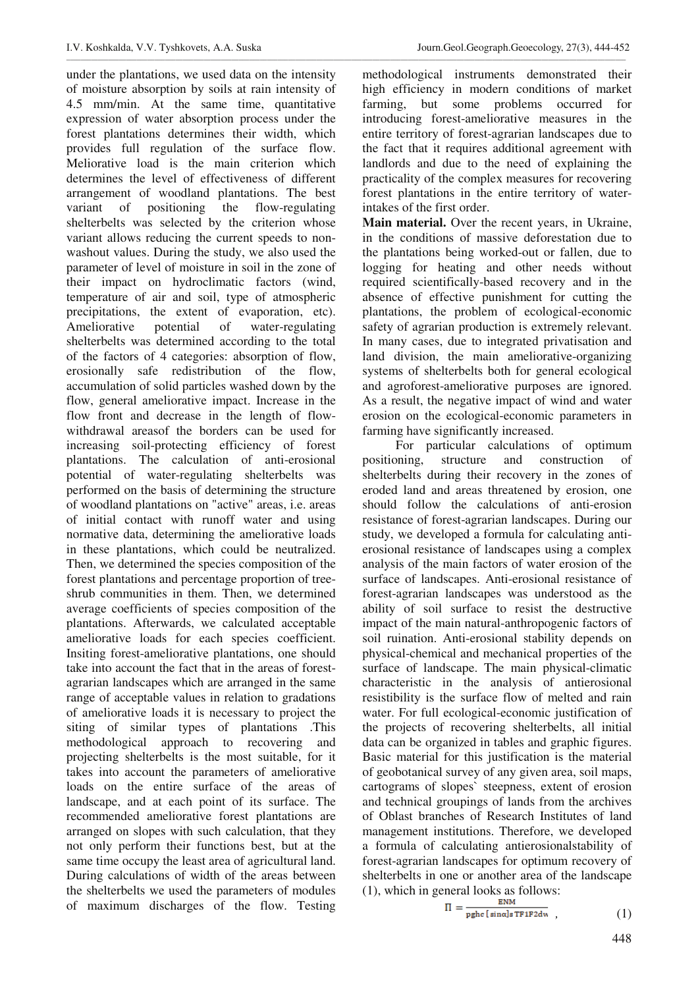under the plantations, we used data on the intensity of moisture absorption by soils at rain intensity of 4.5 mm/min. At the same time, quantitative expression of water absorption process under the forest plantations determines their width, which provides full regulation of the surface flow. Meliorative load is the main criterion which determines the level of effectiveness of different arrangement of woodland plantations. The best variant of positioning the flow-regulating shelterbelts was selected by the criterion whose variant allows reducing the current speeds to nonwashout values. During the study, we also used the parameter of level of moisture in soil in the zone of their impact on hydroclimatic factors (wind, temperature of air and soil, type of atmospheric precipitations, the extent of evaporation, etc). Ameliorative potential of water-regulating shelterbelts was determined according to the total of the factors of 4 categories: absorption of flow, erosionally safe redistribution of the flow, accumulation of solid particles washed down by the flow, general ameliorative impact. Increase in the flow front and decrease in the length of flowwithdrawal areasof the borders can be used for increasing soil-protecting efficiency of forest plantations. The calculation of anti-erosional potential of water-regulating shelterbelts was performed on the basis of determining the structure of woodland plantations on "active" areas, i.e. areas of initial contact with runoff water and using normative data, determining the ameliorative loads in these plantations, which could be neutralized. Then, we determined the species composition of the forest plantations and percentage proportion of treeshrub communities in them. Then, we determined average coefficients of species composition of the plantations. Afterwards, we calculated acceptable ameliorative loads for each species coefficient. Insiting forest-ameliorative plantations, one should take into account the fact that in the areas of forestagrarian landscapes which are arranged in the same range of acceptable values in relation to gradations of ameliorative loads it is necessary to project the siting of similar types of plantations .This methodological approach to recovering and projecting shelterbelts is the most suitable, for it takes into account the parameters of ameliorative loads on the entire surface of the areas of landscape, and at each point of its surface. The recommended ameliorative forest plantations are arranged on slopes with such calculation, that they not only perform their functions best, but at the same time occupy the least area of agricultural land. During calculations of width of the areas between the shelterbelts we used the parameters of modules of maximum discharges of the flow. Testing

methodological instruments demonstrated their high efficiency in modern conditions of market farming, but some problems occurred for introducing forest-ameliorative measures in the entire territory of forest-agrarian landscapes due to the fact that it requires additional agreement with landlords and due to the need of explaining the practicality of the complex measures for recovering forest plantations in the entire territory of waterintakes of the first order.

**Main material.** Over the recent years, in Ukraine, in the conditions of massive deforestation due to the plantations being worked-out or fallen, due to logging for heating and other needs without required scientifically-based recovery and in the absence of effective punishment for cutting the plantations, the problem of ecological-economic safety of agrarian production is extremely relevant. In many cases, due to integrated privatisation and land division, the main ameliorative-organizing systems of shelterbelts both for general ecological and agroforest-ameliorative purposes are ignored. As a result, the negative impact of wind and water erosion on the ecological-economic parameters in farming have significantly increased.

For particular calculations of optimum positioning, structure and construction of shelterbelts during their recovery in the zones of eroded land and areas threatened by erosion, one should follow the calculations of anti-erosion resistance of forest-agrarian landscapes. During our study, we developed a formula for calculating antierosional resistance of landscapes using a complex analysis of the main factors of water erosion of the surface of landscapes. Anti-erosional resistance of forest-agrarian landscapes was understood as the ability of soil surface to resist the destructive impact of the main natural-anthropogenic factors of soil ruination. Anti-erosional stability depends on physical-chemical and mechanical properties of the surface of landscape. The main physical-climatic characteristic in the analysis of antierosional resistibility is the surface flow of melted and rain water. For full ecological-economic justification of the projects of recovering shelterbelts, all initial data can be organized in tables and graphic figures. Basic material for this justification is the material of geobotanical survey of any given area, soil maps, cartograms of slopes` steepness, extent of erosion and technical groupings of lands from the archives of Oblast branches of Research Institutes of land management institutions. Therefore, we developed a formula of calculating antierosionalstability of forest-agrarian landscapes for optimum recovery of shelterbelts in one or another area of the landscape (1), which in general looks as follows:

$$
\Pi = \frac{\Delta W}{\text{pphe} \left[ \sin \alpha \right] s \text{TF1F2dw}} \tag{1}
$$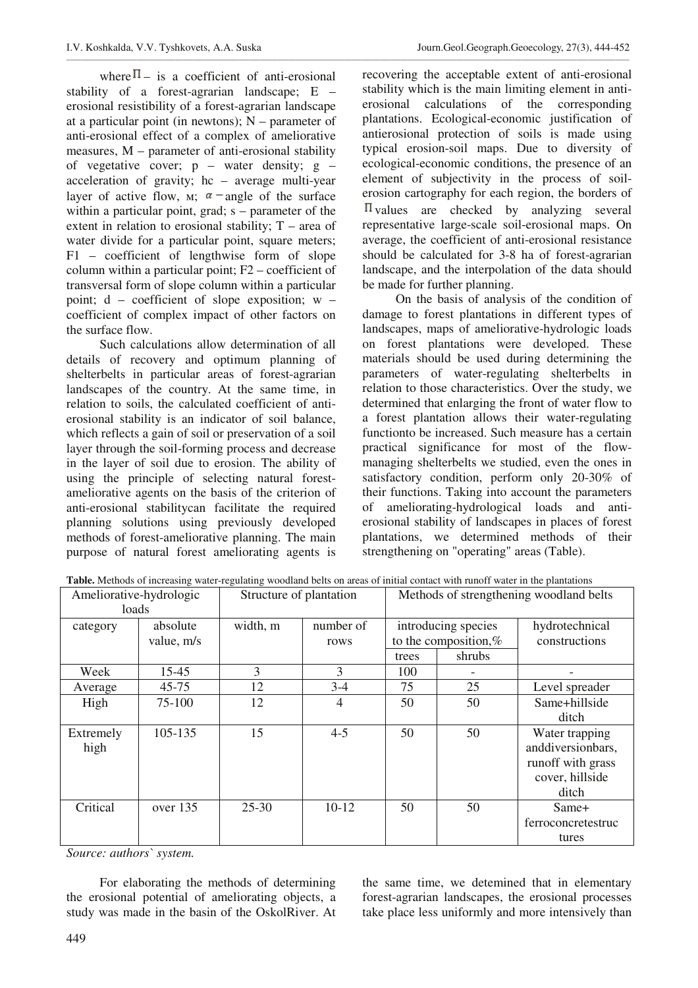where  $\Pi$  – is a coefficient of anti-erosional stability of a forest-agrarian landscape; E – erosional resistibility of a forest-agrarian landscape at a particular point (in newtons);  $N -$  parameter of anti-erosional effect of a complex of ameliorative measures, M – parameter of anti-erosional stability of vegetative cover;  $p -$  water density;  $g$ acceleration of gravity; hc – average multi-year layer of active flow,  $\mu$ ;  $\alpha$  -angle of the surface within a particular point, grad; s – parameter of the extent in relation to erosional stability;  $T$  – area of water divide for a particular point, square meters; F1 – coefficient of lengthwise form of slope column within a particular point; F2 – coefficient of transversal form of slope column within a particular point; d – coefficient of slope exposition; w – coefficient of complex impact of other factors on the surface flow.

Such calculations allow determination of all details of recovery and optimum planning of shelterbelts in particular areas of forest-agrarian landscapes of the country. At the same time, in relation to soils, the calculated coefficient of antierosional stability is an indicator of soil balance, which reflects a gain of soil or preservation of a soil layer through the soil-forming process and decrease in the layer of soil due to erosion. The ability of using the principle of selecting natural forestameliorative agents on the basis of the criterion of anti-erosional stabilitycan facilitate the required planning solutions using previously developed methods of forest-ameliorative planning. The main purpose of natural forest ameliorating agents is

recovering the acceptable extent of anti-erosional stability which is the main limiting element in antierosional calculations of the corresponding plantations. Ecological-economic justification of antierosional protection of soils is made using typical erosion-soil maps. Due to diversity of ecological-economic conditions, the presence of an element of subjectivity in the process of soilerosion cartography for each region, the borders of  $\Pi$  values are checked by analyzing several representative large-scale soil-erosional maps. On average, the coefficient of anti-erosional resistance should be calculated for 3-8 ha of forest-agrarian landscape, and the interpolation of the data should be made for further planning.

On the basis of analysis of the condition of damage to forest plantations in different types of landscapes, maps of ameliorative-hydrologic loads on forest plantations were developed. These materials should be used during determining the parameters of water-regulating shelterbelts in relation to those characteristics. Over the study, we determined that enlarging the front of water flow to a forest plantation allows their water-regulating functionto be increased. Such measure has a certain practical significance for most of the flowmanaging shelterbelts we studied, even the ones in satisfactory condition, perform only 20-30% of their functions. Taking into account the parameters of ameliorating-hydrological loads and antierosional stability of landscapes in places of forest plantations, we determined methods of their strengthening on "operating" areas (Table).

| Table. Methods of increasing water-regulating woodland belts on areas of initial contact with runoff water in the plantations |  |
|-------------------------------------------------------------------------------------------------------------------------------|--|
|                                                                                                                               |  |

| Ameliorative-hydrologic<br>loads |                        | Structure of plantation |                   | Methods of strengthening woodland belts                           |    |                                                                                      |
|----------------------------------|------------------------|-------------------------|-------------------|-------------------------------------------------------------------|----|--------------------------------------------------------------------------------------|
| category                         | absolute<br>value, m/s | width, m                | number of<br>rows | introducing species<br>to the composition, $%$<br>shrubs<br>trees |    | hydrotechnical<br>constructions                                                      |
| Week                             | 15-45                  | 3                       | 3                 | 100                                                               |    |                                                                                      |
| Average                          | $45 - 75$              | 12                      | $3 - 4$           | 75                                                                | 25 | Level spreader                                                                       |
| High                             | 75-100                 | 12                      | $\overline{4}$    | 50                                                                | 50 | Same+hillside<br>ditch                                                               |
| Extremely<br>high                | 105-135                | 15                      | $4 - 5$           | 50                                                                | 50 | Water trapping<br>anddiversionbars,<br>runoff with grass<br>cover, hillside<br>ditch |
| Critical                         | over 135               | $25 - 30$               | $10-12$           | 50                                                                | 50 | Same+<br>ferroconcretestruc<br>tures                                                 |

*Source: authors` system.* 

For elaborating the methods of determining the erosional potential of ameliorating objects, a study was made in the basin of the OskolRiver. At

the same time, we detemined that in elementary forest-agrarian landscapes, the erosional processes take place less uniformly and more intensively than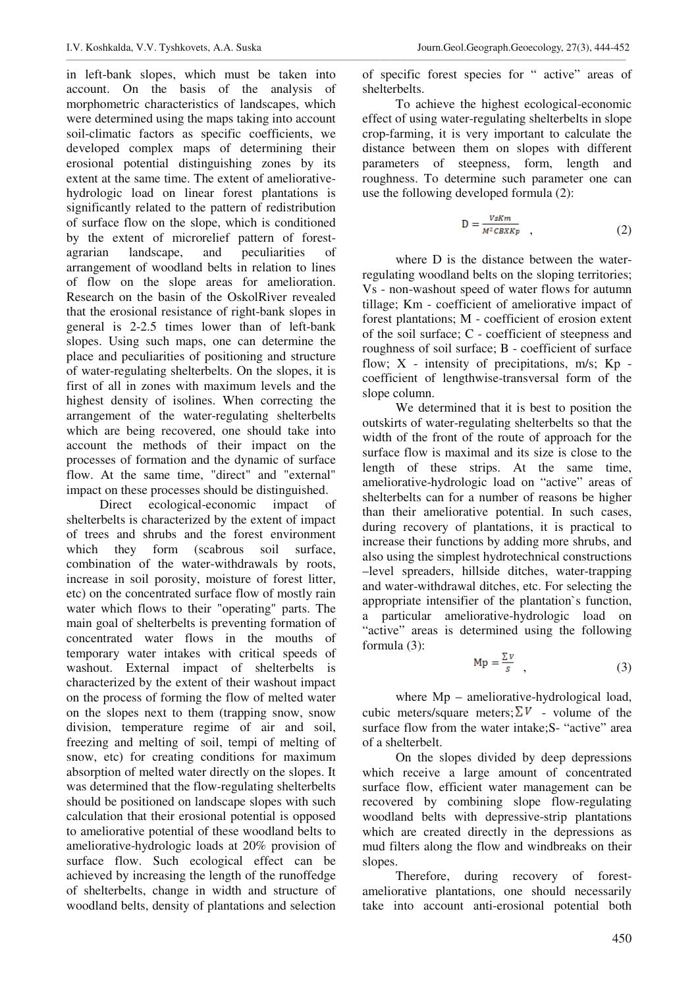in left-bank slopes, which must be taken into account. On the basis of the analysis of morphometric characteristics of landscapes, which were determined using the maps taking into account soil-climatic factors as specific coefficients, we developed complex maps of determining their erosional potential distinguishing zones by its extent at the same time. The extent of ameliorativehydrologic load on linear forest plantations is significantly related to the pattern of redistribution of surface flow on the slope, which is conditioned by the extent of microrelief pattern of forestagrarian landscape, and peculiarities of arrangement of woodland belts in relation to lines of flow on the slope areas for amelioration. Research on the basin of the OskolRiver revealed that the erosional resistance of right-bank slopes in general is 2-2.5 times lower than of left-bank slopes. Using such maps, one can determine the place and peculiarities of positioning and structure of water-regulating shelterbelts. On the slopes, it is first of all in zones with maximum levels and the highest density of isolines. When correcting the arrangement of the water-regulating shelterbelts which are being recovered, one should take into account the methods of their impact on the processes of formation and the dynamic of surface flow. At the same time, "direct" and "external" impact on these processes should be distinguished.

Direct ecological-economic impact of shelterbelts is characterized by the extent of impact of trees and shrubs and the forest environment which they form (scabrous soil surface, combination of the water-withdrawals by roots, increase in soil porosity, moisture of forest litter, etc) on the concentrated surface flow of mostly rain water which flows to their "operating" parts. The main goal of shelterbelts is preventing formation of concentrated water flows in the mouths of temporary water intakes with critical speeds of washout. External impact of shelterbelts is characterized by the extent of their washout impact on the process of forming the flow of melted water on the slopes next to them (trapping snow, snow division, temperature regime of air and soil, freezing and melting of soil, tempi of melting of snow, etc) for creating conditions for maximum absorption of melted water directly on the slopes. It was determined that the flow-regulating shelterbelts should be positioned on landscape slopes with such calculation that their erosional potential is opposed to ameliorative potential of these woodland belts to ameliorative-hydrologic loads at 20% provision of surface flow. Such ecological effect can be achieved by increasing the length of the runoffedge of shelterbelts, change in width and structure of woodland belts, density of plantations and selection

of specific forest species for " active" areas of shelterbelts.

\_\_\_\_\_\_\_\_\_\_\_\_\_\_\_\_\_\_\_\_\_\_\_\_\_\_\_\_\_\_\_\_\_\_\_\_\_\_\_\_\_\_\_\_\_\_\_\_\_\_\_\_\_\_\_\_\_\_\_\_\_\_\_\_\_\_\_\_\_\_\_\_\_\_\_\_\_\_\_\_\_\_\_\_\_\_\_\_\_\_\_\_\_\_\_\_\_\_\_\_\_\_\_\_\_\_\_\_\_\_\_\_\_\_\_\_\_\_\_\_\_\_\_\_\_\_\_\_\_\_\_\_\_\_\_\_\_\_\_\_\_\_\_\_\_\_\_\_\_\_\_\_\_\_\_\_\_\_\_

To achieve the highest ecological-economic effect of using water-regulating shelterbelts in slope crop-farming, it is very important to calculate the distance between them on slopes with different parameters of steepness, form, length and roughness. To determine such parameter one can use the following developed formula (2):

$$
D = \frac{v_{sKm}}{M^2 c_{BKKp}} \quad , \tag{2}
$$

where D is the distance between the waterregulating woodland belts on the sloping territories; Vs - non-washout speed of water flows for autumn tillage; Km - coefficient of ameliorative impact of forest plantations; M - coefficient of erosion extent of the soil surface; C - coefficient of steepness and roughness of soil surface; B - coefficient of surface flow;  $X$  - intensity of precipitations,  $m/s$ ;  $Kp$  coefficient of lengthwise-transversal form of the slope column.

We determined that it is best to position the outskirts of water-regulating shelterbelts so that the width of the front of the route of approach for the surface flow is maximal and its size is close to the length of these strips. At the same time, ameliorative-hydrologic load on "active" areas of shelterbelts can for a number of reasons be higher than their ameliorative potential. In such cases, during recovery of plantations, it is practical to increase their functions by adding more shrubs, and also using the simplest hydrotechnical constructions –level spreaders, hillside ditches, water-trapping and water-withdrawal ditches, etc. For selecting the appropriate intensifier of the plantation`s function, a particular ameliorative-hydrologic load on "active" areas is determined using the following formula (3):

$$
Mp = \frac{2V}{s} \quad , \tag{3}
$$

where  $Mp$  – ameliorative-hydrological load, cubic meters/square meters;  $\Sigma V$  - volume of the surface flow from the water intake;S- "active" area of a shelterbelt.

On the slopes divided by deep depressions which receive a large amount of concentrated surface flow, efficient water management can be recovered by combining slope flow-regulating woodland belts with depressive-strip plantations which are created directly in the depressions as mud filters along the flow and windbreaks on their slopes.

Therefore, during recovery of forestameliorative plantations, one should necessarily take into account anti-erosional potential both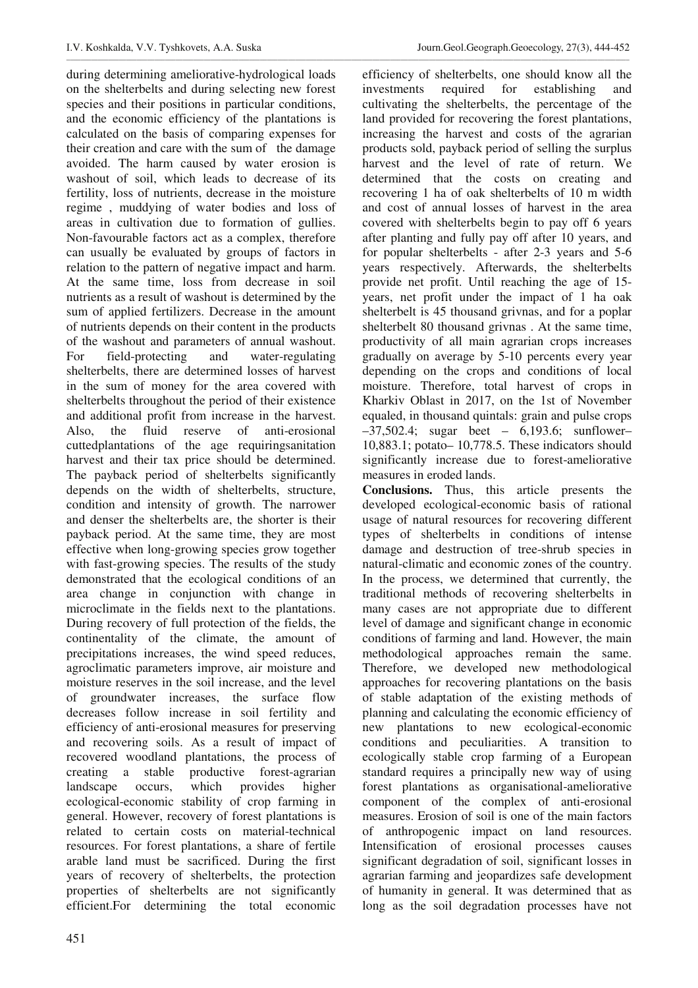during determining ameliorative-hydrological loads on the shelterbelts and during selecting new forest species and their positions in particular conditions, and the economic efficiency of the plantations is calculated on the basis of comparing expenses for their creation and care with the sum of the damage avoided. The harm caused by water erosion is washout of soil, which leads to decrease of its fertility, loss of nutrients, decrease in the moisture regime , muddying of water bodies and loss of areas in cultivation due to formation of gullies. Non-favourable factors act as a complex, therefore can usually be evaluated by groups of factors in relation to the pattern of negative impact and harm. At the same time, loss from decrease in soil nutrients as a result of washout is determined by the sum of applied fertilizers. Decrease in the amount of nutrients depends on their content in the products of the washout and parameters of annual washout. For field-protecting and water-regulating shelterbelts, there are determined losses of harvest in the sum of money for the area covered with shelterbelts throughout the period of their existence and additional profit from increase in the harvest. Also, the fluid reserve of anti-erosional cuttedplantations of the age requiringsanitation harvest and their tax price should be determined. The payback period of shelterbelts significantly depends on the width of shelterbelts, structure, condition and intensity of growth. The narrower and denser the shelterbelts are, the shorter is their payback period. At the same time, they are most effective when long-growing species grow together with fast-growing species. The results of the study demonstrated that the ecological conditions of an area change in conjunction with change in microclimate in the fields next to the plantations. During recovery of full protection of the fields, the continentality of the climate, the amount of precipitations increases, the wind speed reduces, agroclimatic parameters improve, air moisture and moisture reserves in the soil increase, and the level of groundwater increases, the surface flow decreases follow increase in soil fertility and efficiency of anti-erosional measures for preserving and recovering soils. As a result of impact of recovered woodland plantations, the process of creating a stable productive forest-agrarian landscape occurs, which provides higher ecological-economic stability of crop farming in general. However, recovery of forest plantations is related to certain costs on material-technical resources. For forest plantations, a share of fertile arable land must be sacrificed. During the first years of recovery of shelterbelts, the protection properties of shelterbelts are not significantly efficient.For determining the total economic

efficiency of shelterbelts, one should know all the investments required for establishing and cultivating the shelterbelts, the percentage of the land provided for recovering the forest plantations, increasing the harvest and costs of the agrarian products sold, payback period of selling the surplus harvest and the level of rate of return. We determined that the costs on creating and recovering 1 ha of oak shelterbelts of 10 m width and cost of annual losses of harvest in the area covered with shelterbelts begin to pay off 6 years after planting and fully pay off after 10 years, and for popular shelterbelts - after 2-3 years and 5-6 years respectively. Afterwards, the shelterbelts provide net profit. Until reaching the age of 15 years, net profit under the impact of 1 ha oak shelterbelt is 45 thousand grivnas, and for a poplar shelterbelt 80 thousand grivnas . At the same time, productivity of all main agrarian crops increases gradually on average by 5-10 percents every year depending on the crops and conditions of local moisture. Therefore, total harvest of crops in Kharkiv Oblast in 2017, on the 1st of November equaled, in thousand quintals: grain and pulse crops –37,502.4; sugar beet – 6,193.6; sunflower– 10,883.1; potato– 10,778.5. These indicators should significantly increase due to forest-ameliorative measures in eroded lands.

**Conclusions.** Thus, this article presents the developed ecological-economic basis of rational usage of natural resources for recovering different types of shelterbelts in conditions of intense damage and destruction of tree-shrub species in natural-climatic and economic zones of the country. In the process, we determined that currently, the traditional methods of recovering shelterbelts in many cases are not appropriate due to different level of damage and significant change in economic conditions of farming and land. However, the main methodological approaches remain the same. Therefore, we developed new methodological approaches for recovering plantations on the basis of stable adaptation of the existing methods of planning and calculating the economic efficiency of new plantations to new ecological-economic conditions and peculiarities. A transition to ecologically stable crop farming of a European standard requires a principally new way of using forest plantations as organisational-ameliorative component of the complex of anti-erosional measures. Erosion of soil is one of the main factors of anthropogenic impact on land resources. Intensification of erosional processes causes significant degradation of soil, significant losses in agrarian farming and jeopardizes safe development of humanity in general. It was determined that as long as the soil degradation processes have not